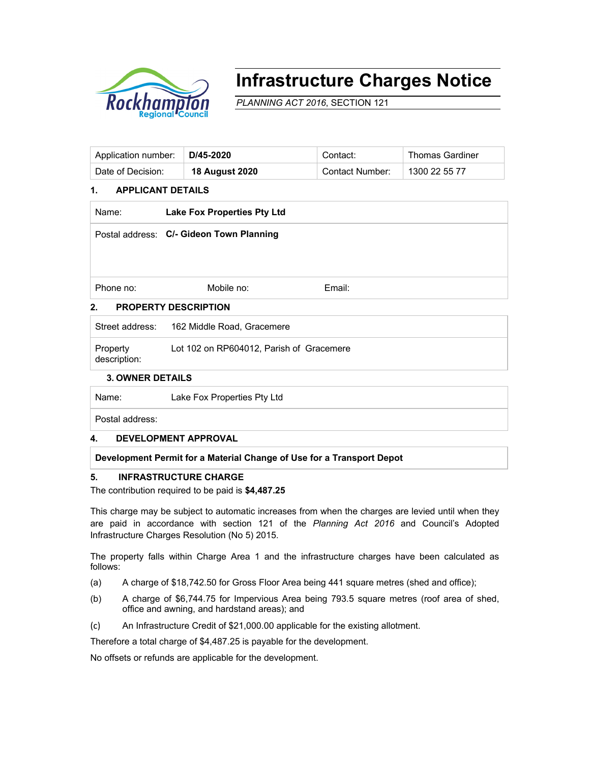

# **Infrastructure Charges Notice**

*PLANNING ACT 2016*, SECTION 121

| Application number: | D/45-2020      | Contact:        | <b>Thomas Gardiner</b> |
|---------------------|----------------|-----------------|------------------------|
| Date of Decision:   | 18 August 2020 | Contact Number: | 1300 22 55 77          |

### **1. APPLICANT DETAILS**

| Name:                             | <b>Lake Fox Properties Pty Ltd</b>       |        |  |  |  |  |
|-----------------------------------|------------------------------------------|--------|--|--|--|--|
|                                   | Postal address: C/- Gideon Town Planning |        |  |  |  |  |
|                                   |                                          |        |  |  |  |  |
|                                   |                                          |        |  |  |  |  |
| Phone no:                         | Mobile no:                               | Email: |  |  |  |  |
| 2.<br><b>PROPERTY DESCRIPTION</b> |                                          |        |  |  |  |  |

# Street address: 162 Middle Road, Gracemere **Property** description: Lot 102 on RP604012, Parish of Gracemere

#### **3. OWNER DETAILS**

Name: Lake Fox Properties Pty Ltd

Postal address:

#### **4. DEVELOPMENT APPROVAL**

#### **Development Permit for a Material Change of Use for a Transport Depot**

#### **5. INFRASTRUCTURE CHARGE**

The contribution required to be paid is **\$4,487.25**

This charge may be subject to automatic increases from when the charges are levied until when they are paid in accordance with section 121 of the *Planning Act 2016* and Council's Adopted Infrastructure Charges Resolution (No 5) 2015.

The property falls within Charge Area 1 and the infrastructure charges have been calculated as follows:

- (a) A charge of \$18,742.50 for Gross Floor Area being 441 square metres (shed and office);
- (b) A charge of \$6,744.75 for Impervious Area being 793.5 square metres (roof area of shed, office and awning, and hardstand areas); and
- (c) An Infrastructure Credit of \$21,000.00 applicable for the existing allotment.

Therefore a total charge of \$4,487.25 is payable for the development.

No offsets or refunds are applicable for the development.